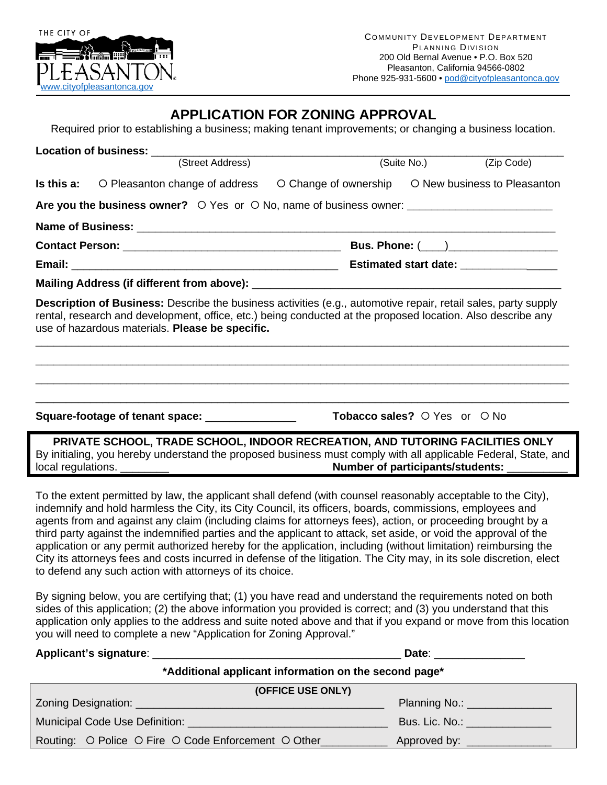

## **APPLICATION FOR ZONING APPROVAL**

Required prior to establishing a business; making tenant improvements; or changing a business location.

|  | (Street Address)                                                                                                                                                                                                                                                                 |                                                    | (Suite No.) | (Zip Code) |  |
|--|----------------------------------------------------------------------------------------------------------------------------------------------------------------------------------------------------------------------------------------------------------------------------------|----------------------------------------------------|-------------|------------|--|
|  | <b>Is this a:</b> $\circ$ Pleasanton change of address                                                                                                                                                                                                                           | O Change of ownership O New business to Pleasanton |             |            |  |
|  | Are you the business owner? O Yes or O No, name of business owner: _________________________________                                                                                                                                                                             |                                                    |             |            |  |
|  |                                                                                                                                                                                                                                                                                  |                                                    |             |            |  |
|  |                                                                                                                                                                                                                                                                                  |                                                    |             |            |  |
|  |                                                                                                                                                                                                                                                                                  | Estimated start date: _________________            |             |            |  |
|  |                                                                                                                                                                                                                                                                                  |                                                    |             |            |  |
|  | Description of Business: Describe the business activities (e.g., automotive repair, retail sales, party supply<br>rental, research and development, office, etc.) being conducted at the proposed location. Also describe any<br>use of hazardous materials. Please be specific. |                                                    |             |            |  |
|  |                                                                                                                                                                                                                                                                                  |                                                    |             |            |  |
|  |                                                                                                                                                                                                                                                                                  |                                                    |             |            |  |
|  | Square-footage of tenant space:                                                                                                                                                                                                                                                  | Tobacco sales? O Yes or O No                       |             |            |  |
|  | DDIVATE SCHOOL. TDANE SCHOOL. INNOOD DECDEATION. ANN THTODING EACH ITIES ONLY.                                                                                                                                                                                                   |                                                    |             |            |  |

**PRIVATE SCHOOL, TRADE SCHOOL, INDOOR RECREATION, AND TUTORING FACILITIES ONLY** By initialing, you hereby understand the proposed business must comply with all applicable Federal, State, and local regulations. \_\_\_\_\_\_\_\_ **Number of participants/students:** \_\_\_\_\_\_\_\_\_\_

To the extent permitted by law, the applicant shall defend (with counsel reasonably acceptable to the City), indemnify and hold harmless the City, its City Council, its officers, boards, commissions, employees and agents from and against any claim (including claims for attorneys fees), action, or proceeding brought by a third party against the indemnified parties and the applicant to attack, set aside, or void the approval of the application or any permit authorized hereby for the application, including (without limitation) reimbursing the City its attorneys fees and costs incurred in defense of the litigation. The City may, in its sole discretion, elect to defend any such action with attorneys of its choice.

By signing below, you are certifying that; (1) you have read and understand the requirements noted on both sides of this application; (2) the above information you provided is correct; and (3) you understand that this application only applies to the address and suite noted above and that if you expand or move from this location you will need to complete a new "Application for Zoning Approval."

|                                                       | Date: _________________        |  |  |  |
|-------------------------------------------------------|--------------------------------|--|--|--|
| *Additional applicant information on the second page* |                                |  |  |  |
| (OFFICE USE ONLY)                                     |                                |  |  |  |
|                                                       | Planning No.: _______________  |  |  |  |
|                                                       | Bus. Lic. No.: _______________ |  |  |  |
| Routing: O Police O Fire O Code Enforcement O Other   |                                |  |  |  |